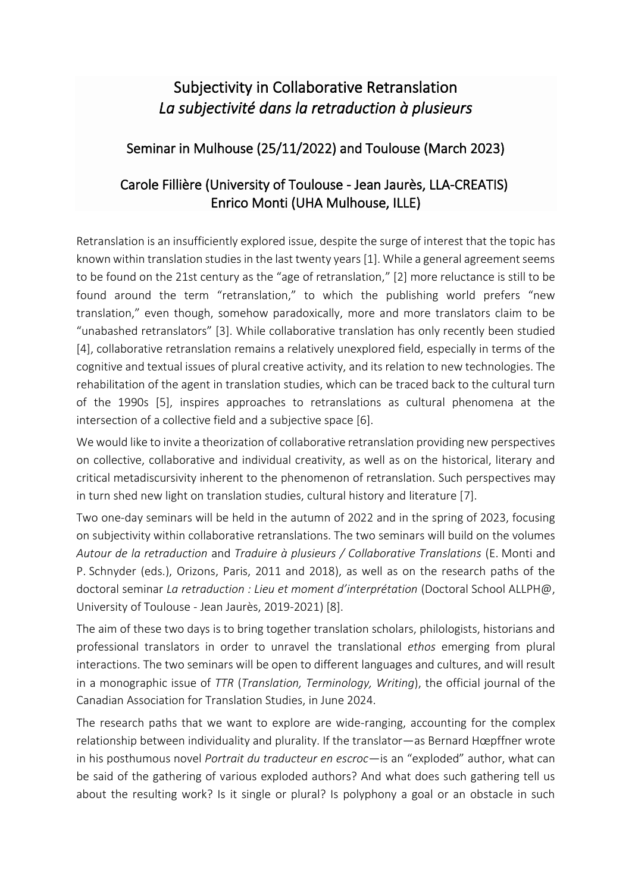## Subjectivity in Collaborative Retranslation *La subjectivité dans la retraduction à plusieurs*

## Seminar in Mulhouse (25/11/2022) and Toulouse (March 2023)

## Carole Fillière (University of Toulouse - Jean Jaurès, LLA-CREATIS) Enrico Monti (UHA Mulhouse, ILLE)

Retranslation is an insufficiently explored issue, despite the surge of interest that the topic has known within translation studies in the last twenty years [1]. While a general agreement seems to be found on the 21st century as the "age of retranslation," [2] more reluctance is still to be found around the term "retranslation," to which the publishing world prefers "new translation," even though, somehow paradoxically, more and more translators claim to be "unabashed retranslators" [3]. While collaborative translation has only recently been studied [4], collaborative retranslation remains a relatively unexplored field, especially in terms of the cognitive and textual issues of plural creative activity, and its relation to new technologies. The rehabilitation of the agent in translation studies, which can be traced back to the cultural turn of the 1990s [5], inspires approaches to retranslations as cultural phenomena at the intersection of a collective field and a subjective space [6].

We would like to invite a theorization of collaborative retranslation providing new perspectives on collective, collaborative and individual creativity, as well as on the historical, literary and critical metadiscursivity inherent to the phenomenon of retranslation. Such perspectives may in turn shed new light on translation studies, cultural history and literature [7].

Two one-day seminars will be held in the autumn of 2022 and in the spring of 2023, focusing on subjectivity within collaborative retranslations. The two seminars will build on the volumes *Autour de la retraduction* and *Traduire à plusieurs / Collaborative Translations* (E. Monti and P. Schnyder (eds.), Orizons, Paris, 2011 and 2018), as well as on the research paths of the doctoral seminar *La retraduction : Lieu et moment d'interprétation* (Doctoral School ALLPH@, University of Toulouse - Jean Jaurès, 2019-2021) [8].

The aim of these two days is to bring together translation scholars, philologists, historians and professional translators in order to unravel the translational *ethos* emerging from plural interactions. The two seminars will be open to different languages and cultures, and will result in a monographic issue of *TTR* (*Translation, Terminology, Writing*), the official journal of the Canadian Association for Translation Studies, in June 2024.

The research paths that we want to explore are wide-ranging, accounting for the complex relationship between individuality and plurality. If the translator—as Bernard Hœpffner wrote in his posthumous novel *Portrait du traducteur en escroc*—is an "exploded" author, what can be said of the gathering of various exploded authors? And what does such gathering tell us about the resulting work? Is it single or plural? Is polyphony a goal or an obstacle in such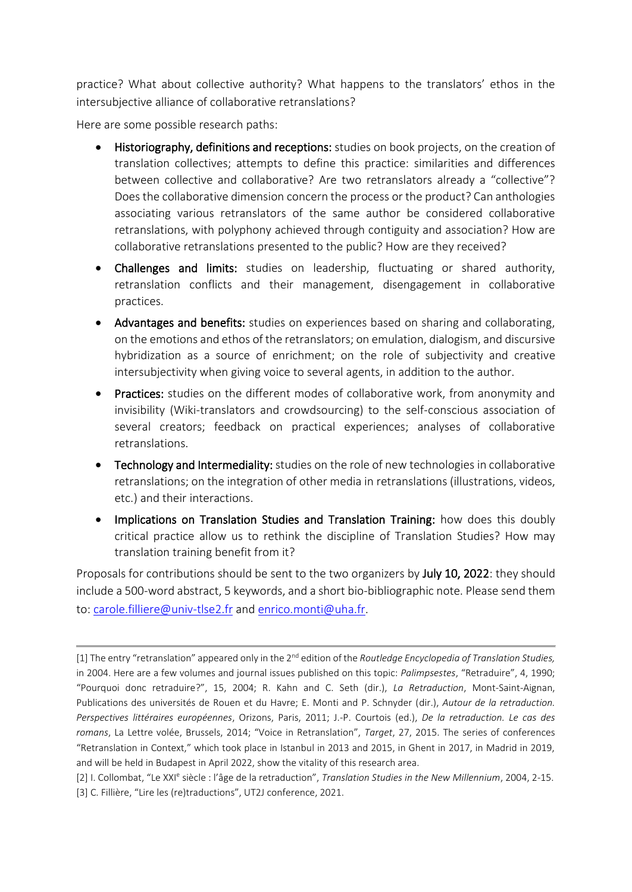practice? What about collective authority? What happens to the translators' ethos in the intersubjective alliance of collaborative retranslations?

Here are some possible research paths:

- Historiography, definitions and receptions: studies on book projects, on the creation of translation collectives; attempts to define this practice: similarities and differences between collective and collaborative? Are two retranslators already a "collective"? Does the collaborative dimension concern the process or the product? Can anthologies associating various retranslators of the same author be considered collaborative retranslations, with polyphony achieved through contiguity and association? How are collaborative retranslations presented to the public? How are they received?
- Challenges and limits: studies on leadership, fluctuating or shared authority, retranslation conflicts and their management, disengagement in collaborative practices.
- Advantages and benefits: studies on experiences based on sharing and collaborating, on the emotions and ethos of the retranslators; on emulation, dialogism, and discursive hybridization as a source of enrichment; on the role of subjectivity and creative intersubjectivity when giving voice to several agents, in addition to the author.
- Practices: studies on the different modes of collaborative work, from anonymity and invisibility (Wiki-translators and crowdsourcing) to the self-conscious association of several creators; feedback on practical experiences; analyses of collaborative retranslations.
- Technology and Intermediality: studies on the role of new technologies in collaborative retranslations; on the integration of other media in retranslations (illustrations, videos, etc.) and their interactions.
- Implications on Translation Studies and Translation Training: how does this doubly critical practice allow us to rethink the discipline of Translation Studies? How may translation training benefit from it?

Proposals for contributions should be sent to the two organizers by July 10, 2022: they should include a 500-word abstract, 5 keywords, and a short bio-bibliographic note. Please send them to: [carole.filliere@univ-tlse2.fr](mailto:carole.filliere@univ-tlse2.fr) and [enrico.monti@uha.fr.](mailto:enrico.monti@uha.fr)

<sup>[1]</sup> The entry "retranslation" appeared only in the 2nd edition of the *Routledge Encyclopedia of Translation Studies,* in 2004. Here are a few volumes and journal issues published on this topic: *Palimpsestes*, "Retraduire", 4, 1990; "Pourquoi donc retraduire?", 15, 2004; R. Kahn and C. Seth (dir.), *La Retraduction*, Mont-Saint-Aignan, Publications des universités de Rouen et du Havre; E. Monti and P. Schnyder (dir.), *Autour de la retraduction. Perspectives littéraires européennes*, Orizons, Paris, 2011; J.-P. Courtois (ed.), *De la retraduction. Le cas des romans*, La Lettre volée, Brussels, 2014; "Voice in Retranslation", *Target*, 27, 2015. The series of conferences "Retranslation in Context," which took place in Istanbul in 2013 and 2015, in Ghent in 2017, in Madrid in 2019, and will be held in Budapest in April 2022, show the vitality of this research area.

<sup>[2]</sup> I. Collombat, "Le XXI<sup>e</sup> siècle : l'âge de la retraduction", *Translation Studies in the New Millennium*, 2004, 2-15. [3] C. Fillière, "Lire les (re)traductions", UT2J conference, 2021.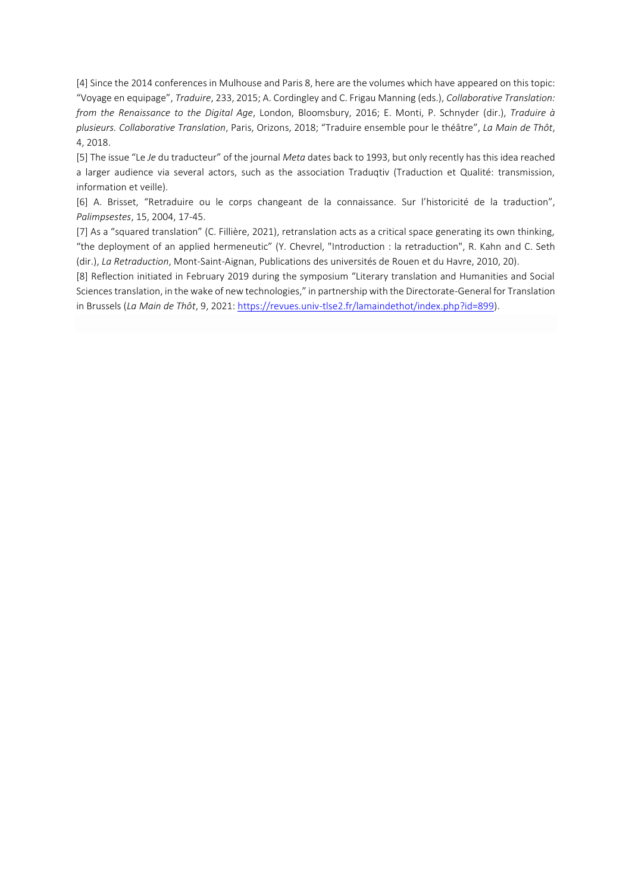[4] Since the 2014 conferences in Mulhouse and Paris 8, here are the volumes which have appeared on this topic: "Voyage en equipage", *Traduire*, 233, 2015; A. Cordingley and C. Frigau Manning (eds.), *Collaborative Translation: from the Renaissance to the Digital Age*, London, Bloomsbury, 2016; E. Monti, P. Schnyder (dir.), *Traduire à plusieurs. Collaborative Translation*, Paris, Orizons, 2018; "Traduire ensemble pour le théâtre", *La Main de Thôt*, 4, 2018.

[5] The issue "Le *Je* du traducteur" of the journal *Meta* dates back to 1993, but only recently has this idea reached a larger audience via several actors, such as the association Traduqtiv (Traduction et Qualité: transmission, information et veille).

[6] A. Brisset, "Retraduire ou le corps changeant de la connaissance. Sur l'historicité de la traduction", *Palimpsestes*, 15, 2004, 17-45.

[7] As a "squared translation" (C. Fillière, 2021), retranslation acts as a critical space generating its own thinking, "the deployment of an applied hermeneutic" (Y. Chevrel, "Introduction : la retraduction", R. Kahn and C. Seth (dir.), *La Retraduction*, Mont-Saint-Aignan, Publications des universités de Rouen et du Havre, 2010, 20).

[8] Reflection initiated in February 2019 during the symposium "Literary translation and Humanities and Social Sciencestranslation, in the wake of new technologies," in partnership with the Directorate-General for Translation in Brussels (*La Main de Thôt*, 9, 2021: [https://revues.univ-tlse2.fr/lamaindethot/index.php?id=899\)](https://revues.univ-tlse2.fr/lamaindethot/index.php?id=899).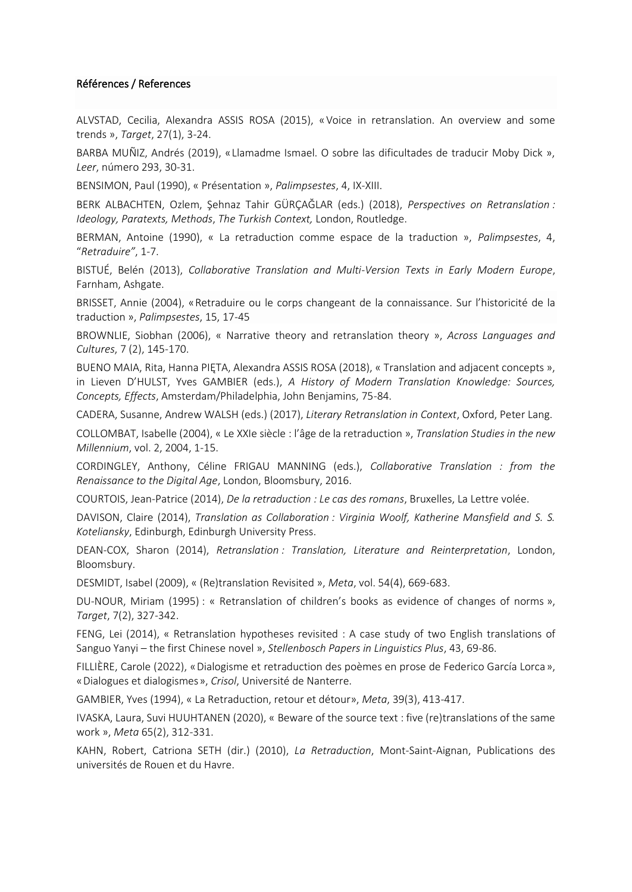## Références / References

ALVSTAD, Cecilia, Alexandra ASSIS ROSA (2015), «Voice in retranslation. An overview and some trends », *Target*, 27(1), 3-24.

BARBA MUÑIZ, Andrés (2019), «Llamadme Ismael. O sobre las dificultades de traducir Moby Dick », *Leer*, número 293, 30-31.

BENSIMON, Paul (1990), « Présentation », *Palimpsestes*, 4, IX-XIII.

BERK ALBACHTEN, Ozlem, Şehnaz Tahir GÜRÇAĞLAR (eds.) (2018), *Perspectives on Retranslation : Ideology, Paratexts, Methods*, *The Turkish Context,* London, Routledge.

BERMAN, Antoine (1990), « La retraduction comme espace de la traduction », *Palimpsestes*, 4, "*Retraduire"*, 1-7.

BISTUÉ, Belén (2013), *Collaborative Translation and Multi-Version Texts in Early Modern Europe*, Farnham, Ashgate.

BRISSET, Annie (2004), «Retraduire ou le corps changeant de la connaissance. Sur l'historicité de la traduction », *Palimpsestes*, 15, 17-45

BROWNLIE, Siobhan (2006), « Narrative theory and retranslation theory », *Across Languages and Cultures*, 7 (2), 145-170.

BUENO MAIA, Rita, Hanna PIĘTA, Alexandra ASSIS ROSA (2018), « Translation and adjacent concepts », in Lieven D'HULST, Yves GAMBIER (eds.), *A History of Modern Translation Knowledge: Sources, Concepts, Effects*, Amsterdam/Philadelphia, John Benjamins, 75-84.

CADERA, Susanne, Andrew WALSH (eds.) (2017), *Literary Retranslation in Context*, Oxford, Peter Lang.

COLLOMBAT, Isabelle (2004), « Le XXIe siècle : l'âge de la retraduction », *Translation Studies in the new Millennium*, vol. 2, 2004, 1-15.

CORDINGLEY, Anthony, Céline FRIGAU MANNING (eds.), *Collaborative Translation : from the Renaissance to the Digital Age*, London, Bloomsbury, 2016.

COURTOIS, Jean-Patrice (2014), *De la retraduction : Le cas des romans*, Bruxelles, La Lettre volée.

DAVISON, Claire (2014), *Translation as Collaboration : Virginia Woolf, Katherine Mansfield and S. S. Koteliansky*, Edinburgh, Edinburgh University Press.

DEAN-COX, Sharon (2014), *Retranslation : Translation, Literature and Reinterpretation*, London, Bloomsbury.

DESMIDT, Isabel (2009), « (Re)translation Revisited », *Meta*, vol. 54(4), 669-683.

DU-NOUR, Miriam (1995) : « Retranslation of children's books as evidence of changes of norms », *Target*, 7(2), 327-342.

FENG, Lei (2014), « Retranslation hypotheses revisited : A case study of two English translations of Sanguo Yanyi – the first Chinese novel », *Stellenbosch Papers in Linguistics Plus*, 43, 69-86.

FILLIÈRE, Carole (2022), «Dialogisme et retraduction des poèmes en prose de Federico García Lorca», «Dialogues et dialogismes», *Crisol*, Université de Nanterre.

GAMBIER, Yves (1994), « La Retraduction, retour et détour», *Meta*, 39(3), 413-417.

IVASKA, Laura, Suvi HUUHTANEN (2020), « Beware of the source text : five (re)translations of the same work », *Meta* 65(2), 312-331.

KAHN, Robert, Catriona SETH (dir.) (2010), *La Retraduction*, Mont-Saint-Aignan, Publications des universités de Rouen et du Havre.